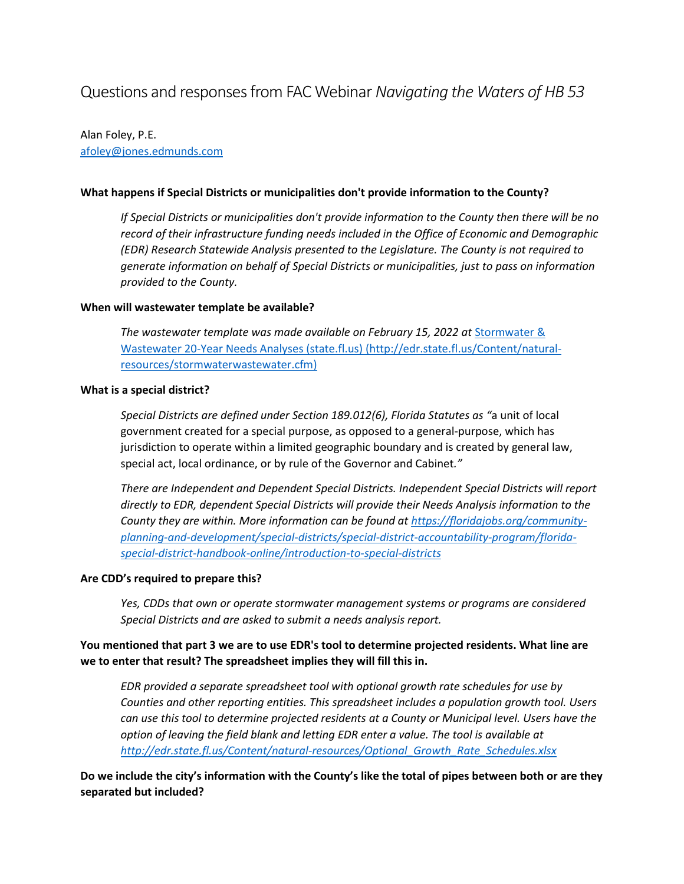# Questions and responses from FAC Webinar *Navigating the Waters of HB 53*

Alan Foley, P.E. [afoley@jones.edmunds.com](mailto:afoley@jones.edmunds.com)

#### **What happens if Special Districts or municipalities don't provide information to the County?**

*If Special Districts or municipalities don't provide information to the County then there will be no record of their infrastructure funding needs included in the Office of Economic and Demographic (EDR) Research Statewide Analysis presented to the Legislature. The County is not required to generate information on behalf of Special Districts or municipalities, just to pass on information provided to the County.*

#### **When will wastewater template be available?**

*The wastewater template was made available on February 15, 2022 at* [Stormwater &](http://edr.state.fl.us/Content/natural-resources/stormwaterwastewater.cfm)  [Wastewater 20-Year Needs Analyses \(state.fl.us\)](http://edr.state.fl.us/Content/natural-resources/stormwaterwastewater.cfm) (http://edr.state.fl.us/Content/naturalresources/stormwaterwastewater.cfm)

#### **What is a special district?**

*Special Districts are defined under Section 189.012(6), Florida Statutes as "*a unit of local government created for a special purpose, as opposed to a general-purpose, which has jurisdiction to operate within a limited geographic boundary and is created by general law, special act, local ordinance, or by rule of the Governor and Cabinet*."*

*There are Independent and Dependent Special Districts. Independent Special Districts will report directly to EDR, dependent Special Districts will provide their Needs Analysis information to the County they are within. More information can be found at [https://floridajobs.org/community](https://floridajobs.org/community-planning-and-development/special-districts/special-district-accountability-program/florida-special-district-handbook-online/introduction-to-special-districts)[planning-and-development/special-districts/special-district-accountability-program/florida](https://floridajobs.org/community-planning-and-development/special-districts/special-district-accountability-program/florida-special-district-handbook-online/introduction-to-special-districts)[special-district-handbook-online/introduction-to-special-districts](https://floridajobs.org/community-planning-and-development/special-districts/special-district-accountability-program/florida-special-district-handbook-online/introduction-to-special-districts)*

#### **Are CDD's required to prepare this?**

*Yes, CDDs that own or operate stormwater management systems or programs are considered Special Districts and are asked to submit a needs analysis report.*

## **You mentioned that part 3 we are to use EDR's tool to determine projected residents. What line are we to enter that result? The spreadsheet implies they will fill this in.**

*EDR provided a separate spreadsheet tool with optional growth rate schedules for use by Counties and other reporting entities. This spreadsheet includes a population growth tool. Users can use this tool to determine projected residents at a County or Municipal level. Users have the option of leaving the field blank and letting EDR enter a value. The tool is available at [http://edr.state.fl.us/Content/natural-resources/Optional\\_Growth\\_Rate\\_Schedules.xlsx](http://edr.state.fl.us/Content/natural-resources/Optional_Growth_Rate_Schedules.xlsx)*

**Do we include the city's information with the County's like the total of pipes between both or are they separated but included?**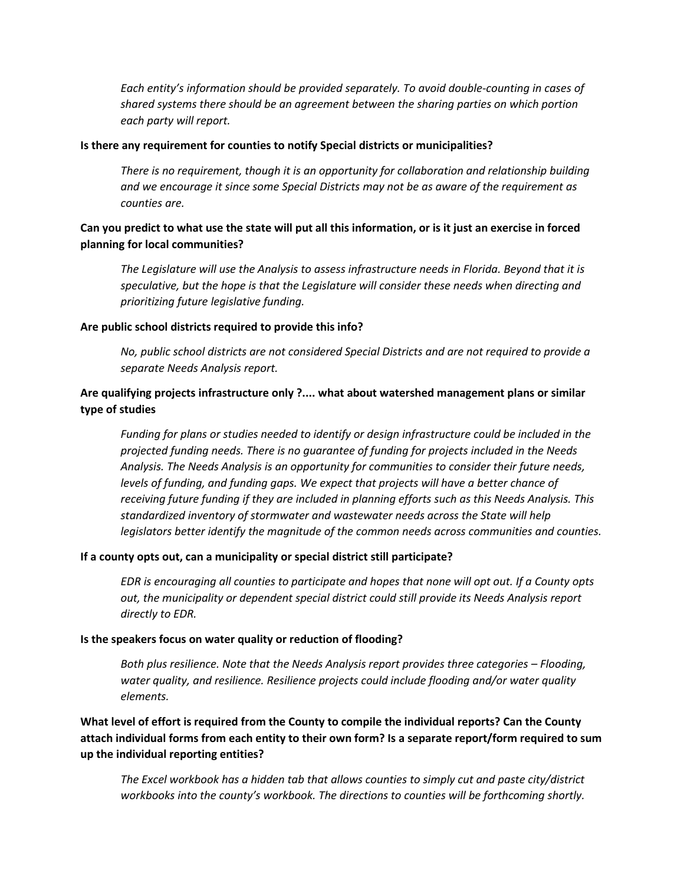*Each entity's information should be provided separately. To avoid double-counting in cases of shared systems there should be an agreement between the sharing parties on which portion each party will report.*

#### **Is there any requirement for counties to notify Special districts or municipalities?**

*There is no requirement, though it is an opportunity for collaboration and relationship building and we encourage it since some Special Districts may not be as aware of the requirement as counties are.*

# **Can you predict to what use the state will put all this information, or is it just an exercise in forced planning for local communities?**

*The Legislature will use the Analysis to assess infrastructure needs in Florida. Beyond that it is speculative, but the hope is that the Legislature will consider these needs when directing and prioritizing future legislative funding.*

## **Are public school districts required to provide this info?**

*No, public school districts are not considered Special Districts and are not required to provide a separate Needs Analysis report.*

# **Are qualifying projects infrastructure only ?.... what about watershed management plans or similar type of studies**

*Funding for plans or studies needed to identify or design infrastructure could be included in the projected funding needs. There is no guarantee of funding for projects included in the Needs Analysis. The Needs Analysis is an opportunity for communities to consider their future needs, levels of funding, and funding gaps. We expect that projects will have a better chance of receiving future funding if they are included in planning efforts such as this Needs Analysis. This standardized inventory of stormwater and wastewater needs across the State will help legislators better identify the magnitude of the common needs across communities and counties.*

## **If a county opts out, can a municipality or special district still participate?**

*EDR is encouraging all counties to participate and hopes that none will opt out. If a County opts out, the municipality or dependent special district could still provide its Needs Analysis report directly to EDR.*

## **Is the speakers focus on water quality or reduction of flooding?**

*Both plus resilience. Note that the Needs Analysis report provides three categories – Flooding, water quality, and resilience. Resilience projects could include flooding and/or water quality elements.*

**What level of effort is required from the County to compile the individual reports? Can the County attach individual forms from each entity to their own form? Is a separate report/form required to sum up the individual reporting entities?**

*The Excel workbook has a hidden tab that allows counties to simply cut and paste city/district workbooks into the county's workbook. The directions to counties will be forthcoming shortly.*